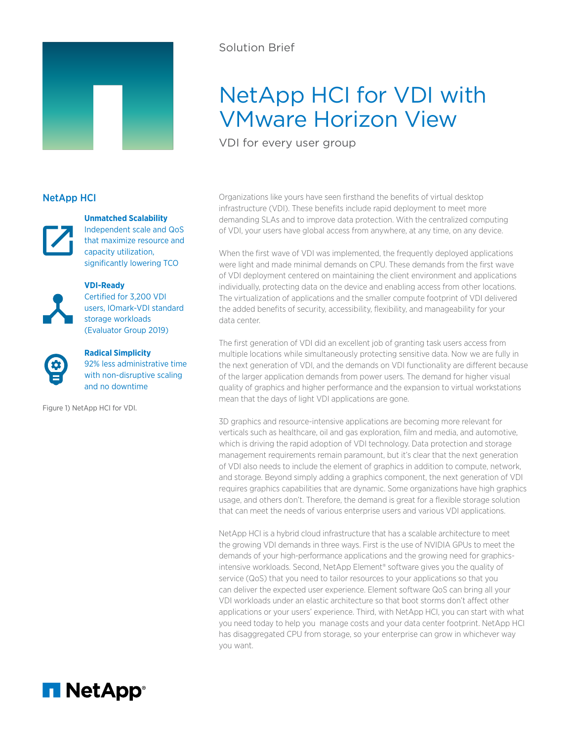

# Solution Brief

# NetApp HCI for VDI with VMware Horizon View

VDI for every user group

## NetApp HCI



### **Unmatched Scalability**

Independent scale and QoS that maximize resource and capacity utilization, significantly lowering TCO



**VDI-Ready**

Certified for 3,200 VDI users, IOmark-VDI standard storage workloads (Evaluator Group 2019)



**Radical Simplicity** 92% less administrative time with non-disruptive scaling and no downtime

Figure 1) NetApp HCI for VDI.

Organizations like yours have seen firsthand the benefits of virtual desktop infrastructure (VDI). These benefits include rapid deployment to meet more demanding SLAs and to improve data protection. With the centralized computing of VDI, your users have global access from anywhere, at any time, on any device.

When the first wave of VDI was implemented, the frequently deployed applications were light and made minimal demands on CPU. These demands from the first wave of VDI deployment centered on maintaining the client environment and applications individually, protecting data on the device and enabling access from other locations. The virtualization of applications and the smaller compute footprint of VDI delivered the added benefits of security, accessibility, flexibility, and manageability for your data center.

The first generation of VDI did an excellent job of granting task users access from multiple locations while simultaneously protecting sensitive data. Now we are fully in the next generation of VDI, and the demands on VDI functionality are different because of the larger application demands from power users. The demand for higher visual quality of graphics and higher performance and the expansion to virtual workstations mean that the days of light VDI applications are gone.

3D graphics and resource-intensive applications are becoming more relevant for verticals such as healthcare, oil and gas exploration, film and media, and automotive, which is driving the rapid adoption of VDI technology. Data protection and storage management requirements remain paramount, but it's clear that the next generation of VDI also needs to include the element of graphics in addition to compute, network, and storage. Beyond simply adding a graphics component, the next generation of VDI requires graphics capabilities that are dynamic. Some organizations have high graphics usage, and others don't. Therefore, the demand is great for a flexible storage solution that can meet the needs of various enterprise users and various VDI applications.

NetApp HCI is a hybrid cloud infrastructure that has a scalable architecture to meet the growing VDI demands in three ways. First is the use of NVIDIA GPUs to meet the demands of your high-performance applications and the growing need for graphicsintensive workloads. Second, NetApp Element® software gives you the quality of service (QoS) that you need to tailor resources to your applications so that you can deliver the expected user experience. Element software QoS can bring all your VDI workloads under an elastic architecture so that boot storms don't affect other applications or your users' experience. Third, with NetApp HCI, you can start with what you need today to help you manage costs and your data center footprint. NetApp HCI has disaggregated CPU from storage, so your enterprise can grow in whichever way you want.